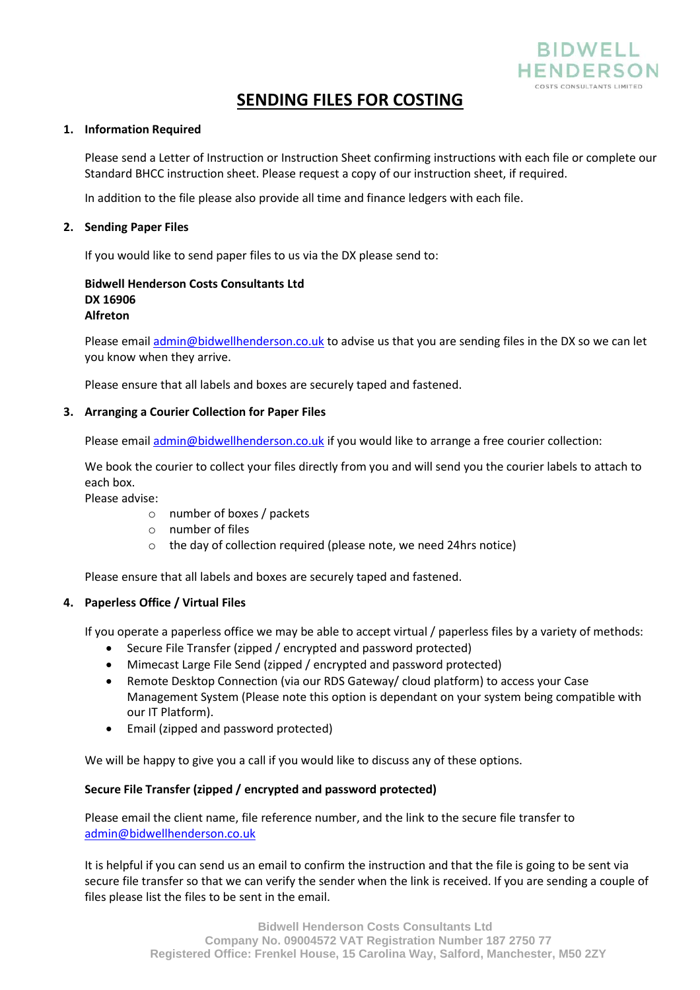

# **SENDING FILES FOR COSTING**

#### **1. Information Required**

Please send a Letter of Instruction or Instruction Sheet confirming instructions with each file or complete our Standard BHCC instruction sheet. Please request a copy of our instruction sheet, if required.

In addition to the file please also provide all time and finance ledgers with each file.

#### **2. Sending Paper Files**

If you would like to send paper files to us via the DX please send to:

#### **DX 16906 Alfreton Bidwell Henderson Costs Consultants Ltd**

Please email admin@bidwellhenderson.co.uk to advise us that you are sending files in the DX so we can let you know when they arrive.

Please ensure that all labels and boxes are securely taped and fastened.

## **3. Arranging a Courier Collection for Paper Files**

Please email admin@bidwellhenderson.co.uk if you would like to arrange a free courier collection:

We book the courier to collect your files directly from you and will send you the courier labels to attach to each box.

Please advise:

- o number of boxes / packets
- o number of files
- o the day of collection required (please note, we need 24hrs notice)

Please ensure that all labels and boxes are securely taped and fastened.

## **4. Paperless Office / Virtual Files**

If you operate a paperless office we may be able to accept virtual / paperless files by a variety of methods:

- Secure File Transfer (zipped / encrypted and password protected)
- Mimecast Large File Send (zipped / encrypted and password protected)
- Remote Desktop Connection (via our RDS Gateway/ cloud platform) to access your Case Management System (Please note this option is dependant on your system being compatible with our IT Platform).
- Email (zipped and password protected) •

We will be happy to give you a call if you would like to discuss any of these options.

## **Secure File Transfer (zipped / encrypted and password protected)**

Please email the client name, file reference number, and the link to the secure file transfer to admin@bidwellhenderson.co.uk

It is helpful if you can send us an email to confirm the instruction and that the file is going to be sent via secure file transfer so that we can verify the sender when the link is received. If you are sending a couple of files please list the files to be sent in the email.